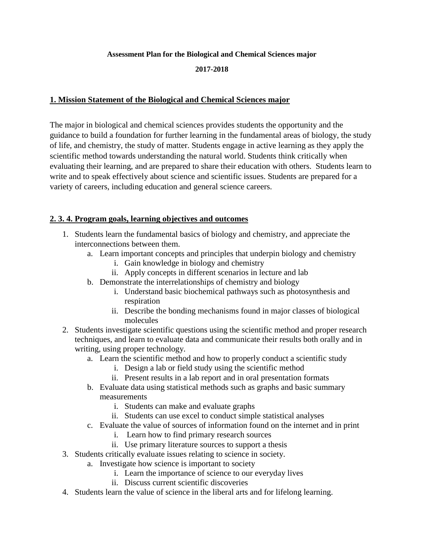#### **Assessment Plan for the Biological and Chemical Sciences major**

#### **2017-2018**

### **1. Mission Statement of the Biological and Chemical Sciences major**

The major in biological and chemical sciences provides students the opportunity and the guidance to build a foundation for further learning in the fundamental areas of biology, the study of life, and chemistry, the study of matter. Students engage in active learning as they apply the scientific method towards understanding the natural world. Students think critically when evaluating their learning, and are prepared to share their education with others. Students learn to write and to speak effectively about science and scientific issues. Students are prepared for a variety of careers, including education and general science careers.

## **2. 3. 4. Program goals, learning objectives and outcomes**

- 1. Students learn the fundamental basics of biology and chemistry, and appreciate the interconnections between them.
	- a. Learn important concepts and principles that underpin biology and chemistry
		- i. Gain knowledge in biology and chemistry
		- ii. Apply concepts in different scenarios in lecture and lab
	- b. Demonstrate the interrelationships of chemistry and biology
		- i. Understand basic biochemical pathways such as photosynthesis and respiration
		- ii. Describe the bonding mechanisms found in major classes of biological molecules
- 2. Students investigate scientific questions using the scientific method and proper research techniques, and learn to evaluate data and communicate their results both orally and in writing, using proper technology.
	- a. Learn the scientific method and how to properly conduct a scientific study
		- i. Design a lab or field study using the scientific method
		- ii. Present results in a lab report and in oral presentation formats
	- b. Evaluate data using statistical methods such as graphs and basic summary measurements
		- i. Students can make and evaluate graphs
		- ii. Students can use excel to conduct simple statistical analyses
	- c. Evaluate the value of sources of information found on the internet and in print
		- i. Learn how to find primary research sources
		- ii. Use primary literature sources to support a thesis
- 3. Students critically evaluate issues relating to science in society.
	- a. Investigate how science is important to society
		- i. Learn the importance of science to our everyday lives
		- ii. Discuss current scientific discoveries
- 4. Students learn the value of science in the liberal arts and for lifelong learning.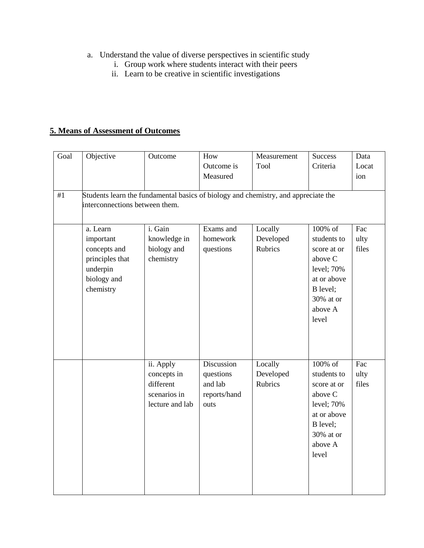- a. Understand the value of diverse perspectives in scientific study
	- i. Group work where students interact with their peers
	- ii. Learn to be creative in scientific investigations

# **5. Means of Assessment of Outcomes**

| Goal | Objective                      | Outcome                                                                            | How          | Measurement | <b>Success</b> | Data             |
|------|--------------------------------|------------------------------------------------------------------------------------|--------------|-------------|----------------|------------------|
|      |                                |                                                                                    | Outcome is   | Tool        | Criteria       | Locat            |
|      |                                |                                                                                    | Measured     |             |                | ion              |
|      |                                |                                                                                    |              |             |                |                  |
| #1   |                                | Students learn the fundamental basics of biology and chemistry, and appreciate the |              |             |                |                  |
|      | interconnections between them. |                                                                                    |              |             |                |                  |
|      |                                |                                                                                    |              |             |                |                  |
|      | a. Learn                       | i. Gain                                                                            | Exams and    | Locally     | 100% of        | $\overline{Fac}$ |
|      | important                      | knowledge in                                                                       | homework     | Developed   | students to    | ulty             |
|      | concepts and                   | biology and                                                                        | questions    | Rubrics     | score at or    | files            |
|      | principles that                | chemistry                                                                          |              |             | above C        |                  |
|      | underpin                       |                                                                                    |              |             | level; 70%     |                  |
|      | biology and                    |                                                                                    |              |             | at or above    |                  |
|      | chemistry                      |                                                                                    |              |             | B level;       |                  |
|      |                                |                                                                                    |              |             | 30% at or      |                  |
|      |                                |                                                                                    |              |             | above A        |                  |
|      |                                |                                                                                    |              |             | level          |                  |
|      |                                |                                                                                    |              |             |                |                  |
|      |                                |                                                                                    |              |             |                |                  |
|      |                                |                                                                                    |              |             |                |                  |
|      |                                | ii. Apply                                                                          | Discussion   | Locally     | 100% of        | Fac              |
|      |                                | concepts in                                                                        | questions    | Developed   | students to    | ulty             |
|      |                                | different                                                                          | and lab      | Rubrics     | score at or    | files            |
|      |                                | scenarios in                                                                       | reports/hand |             | above C        |                  |
|      |                                | lecture and lab                                                                    | outs         |             | level; 70%     |                  |
|      |                                |                                                                                    |              |             | at or above    |                  |
|      |                                |                                                                                    |              |             | B level;       |                  |
|      |                                |                                                                                    |              |             | 30% at or      |                  |
|      |                                |                                                                                    |              |             | above A        |                  |
|      |                                |                                                                                    |              |             | level          |                  |
|      |                                |                                                                                    |              |             |                |                  |
|      |                                |                                                                                    |              |             |                |                  |
|      |                                |                                                                                    |              |             |                |                  |
|      |                                |                                                                                    |              |             |                |                  |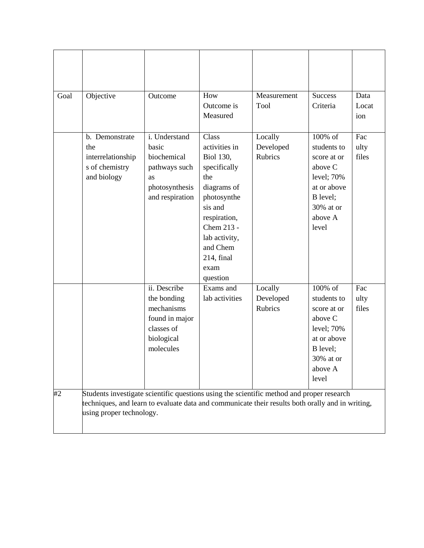| Goal | Objective                                                                                                                    | Outcome                                                                                              | How<br>Outcome is<br>Measured                                                                                                                                                                           | Measurement<br>Tool             | <b>Success</b><br>Criteria                                                                                                    | Data<br>Locat<br>ion |
|------|------------------------------------------------------------------------------------------------------------------------------|------------------------------------------------------------------------------------------------------|---------------------------------------------------------------------------------------------------------------------------------------------------------------------------------------------------------|---------------------------------|-------------------------------------------------------------------------------------------------------------------------------|----------------------|
|      | b. Demonstrate<br>the<br>interrelationship<br>s of chemistry<br>and biology                                                  | i. Understand<br>basic<br>biochemical<br>pathways such<br>as<br>photosynthesis<br>and respiration    | Class<br>activities in<br><b>Biol 130,</b><br>specifically<br>the<br>diagrams of<br>photosynthe<br>sis and<br>respiration,<br>Chem 213 -<br>lab activity,<br>and Chem<br>214, final<br>exam<br>question | Locally<br>Developed<br>Rubrics | 100% of<br>students to<br>score at or<br>above C<br>level; 70%<br>at or above<br>B level;<br>30% at or<br>above A<br>level    | Fac<br>ulty<br>files |
| #2   | Students investigate scientific questions using the scientific method and proper research                                    | ii. Describe<br>the bonding<br>mechanisms<br>found in major<br>classes of<br>biological<br>molecules | Exams and<br>lab activities                                                                                                                                                                             | Locally<br>Developed<br>Rubrics | 100% of<br>students to<br>score at or<br>above C<br>level; 70%<br>at or above<br>B level;<br>$30\%$ at or<br>above A<br>level | Fac<br>ulty<br>files |
|      | techniques, and learn to evaluate data and communicate their results both orally and in writing,<br>using proper technology. |                                                                                                      |                                                                                                                                                                                                         |                                 |                                                                                                                               |                      |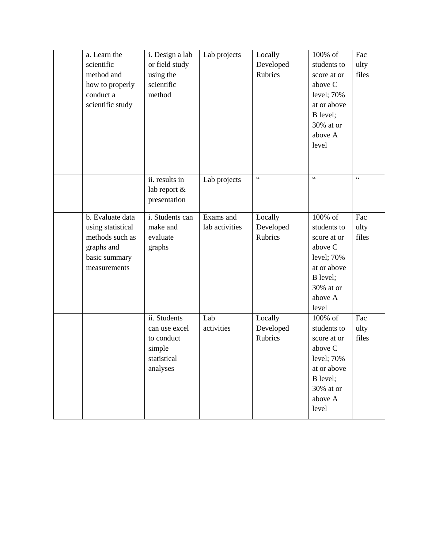| a. Learn the<br>scientific<br>method and<br>how to properly<br>conduct a<br>scientific study            | i. Design a lab<br>or field study<br>using the<br>scientific<br>method           | Lab projects                | Locally<br>Developed<br>Rubrics        | 100% of<br>students to<br>score at or<br>above C<br>level; 70%<br>at or above<br>B level;<br>30% at or<br>above A<br>level   | Fac<br>ulty<br>files |
|---------------------------------------------------------------------------------------------------------|----------------------------------------------------------------------------------|-----------------------------|----------------------------------------|------------------------------------------------------------------------------------------------------------------------------|----------------------|
|                                                                                                         | ii. results in<br>lab report &<br>presentation                                   | Lab projects                | $\zeta\,\zeta$                         | $\boldsymbol{\varsigma}$ $\boldsymbol{\varsigma}$                                                                            | $\zeta$ $\zeta$      |
| b. Evaluate data<br>using statistical<br>methods such as<br>graphs and<br>basic summary<br>measurements | i. Students can<br>make and<br>evaluate<br>graphs                                | Exams and<br>lab activities | Locally<br>Developed<br><b>Rubrics</b> | 100% of<br>students to<br>score at or<br>above C<br>level; 70%<br>at or above<br>B level;<br>30% at or<br>above A<br>level   | Fac<br>ulty<br>files |
|                                                                                                         | ii. Students<br>can use excel<br>to conduct<br>simple<br>statistical<br>analyses | Lab<br>activities           | Locally<br>Developed<br>Rubrics        | 100% of<br>students to<br>score at or<br>above C<br>level; $70%$<br>at or above<br>B level;<br>30% at or<br>above A<br>level | Fac<br>ulty<br>files |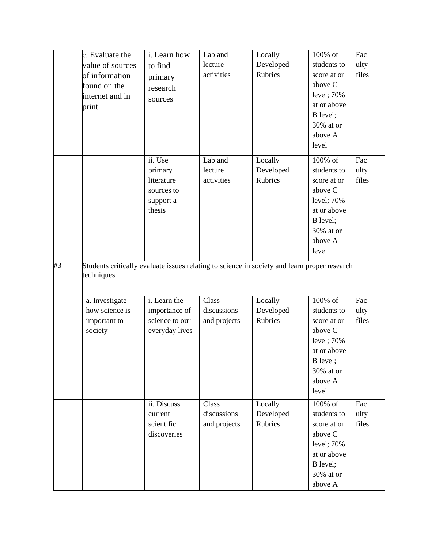| c. Evaluate the  | i. Learn how   | Lab and      | Locally        | 100% of               | Fac   |
|------------------|----------------|--------------|----------------|-----------------------|-------|
| value of sources | to find        | lecture      | Developed      | students to           | ulty  |
| of information   | primary        | activities   | <b>Rubrics</b> | score at or           | files |
| found on the     | research       |              |                | above C               |       |
| internet and in  | sources        |              |                | level; 70%            |       |
| print            |                |              |                | at or above           |       |
|                  |                |              |                | B level;              |       |
|                  |                |              |                | 30% at or             |       |
|                  |                |              |                | above A               |       |
|                  |                |              |                | level                 |       |
|                  | ii. Use        | Lab and      | Locally        | 100% of               | Fac   |
|                  | primary        | lecture      | Developed      | students to           | ulty  |
|                  | literature     | activities   | Rubrics        | score at or           | files |
|                  | sources to     |              |                | above C               |       |
|                  | support a      |              |                | level; 70%            |       |
|                  | thesis         |              |                | at or above           |       |
|                  |                |              |                | B level;              |       |
|                  |                |              |                | 30% at or             |       |
|                  |                |              |                | above A<br>level      |       |
|                  |                |              |                |                       |       |
| techniques.      |                |              |                |                       |       |
| a. Investigate   | i. Learn the   | Class        | Locally        | 100% of               | Fac   |
| how science is   | importance of  | discussions  | Developed      | students to           | ulty  |
| important to     | science to our | and projects | Rubrics        | score at or           | files |
| society          | everyday lives |              |                | above C               |       |
|                  |                |              |                | level; 70%            |       |
|                  |                |              |                | at or above           |       |
|                  |                |              |                | B level;<br>30% at or |       |
|                  |                |              |                | above A               |       |
|                  |                |              |                | level                 |       |
|                  | ii. Discuss    | Class        | Locally        | $100\%$ of            | Fac   |
|                  | current        | discussions  | Developed      | students to           | ulty  |
|                  | scientific     | and projects | Rubrics        | score at or           | files |
|                  | discoveries    |              |                | above C               |       |
|                  |                |              |                | level; 70%            |       |
|                  |                |              |                | at or above           |       |
|                  |                |              |                | B level;              |       |
|                  |                |              |                | 30% at or             |       |
|                  |                |              |                | above A               |       |